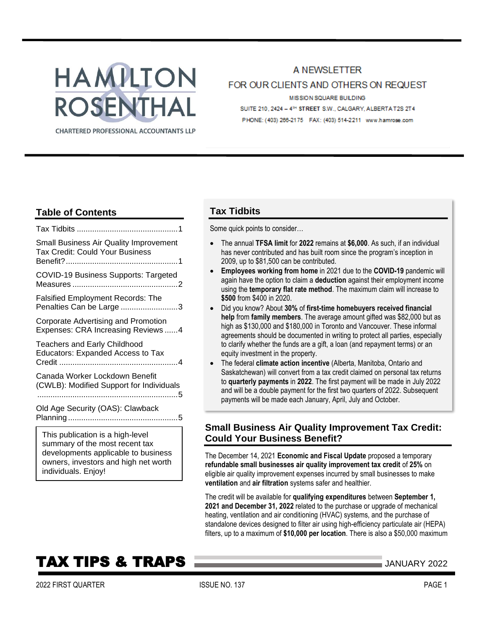# HAMILTON ROSENTHAL **CHARTERED PROFESSIONAL ACCOUNTANTS LLP**

## A NEWSLETTER FOR OUR CLIENTS AND OTHERS ON REQUEST MISSION SQUARE BUILDING SUITE 210, 2424 - 4<sup>th</sup> STREET S.W., CALGARY, ALBERTA T2S 2T4

# **Table of Contents**

| Small Business Air Quality Improvement<br>Tax Credit: Could Your Business                                |
|----------------------------------------------------------------------------------------------------------|
| <b>COVID-19 Business Supports: Targeted</b>                                                              |
| <b>Falsified Employment Records: The</b><br>Penalties Can be Large 3                                     |
| Corporate Advertising and Promotion<br>Expenses: CRA Increasing Reviews 4                                |
| <b>Teachers and Early Childhood</b><br><b>Educators: Expanded Access to Tax</b>                          |
| Canada Worker Lockdown Benefit<br>(CWLB): Modified Support for Individuals                               |
| Old Age Security (OAS): Clawback                                                                         |
| This publication is a high-level<br>summary of the most recent tax<br>doualanmanta annligable ta buginea |

developments applicable to business owners, investors and high net worth individuals. Enjoy!

# **Tax Tidbits**

Some quick points to consider…

- The annual **TFSA limit** for **2022** remains at **\$6,000**. As such, if an individual has never contributed and has built room since the program's inception in 2009, up to \$81,500 can be contributed.
- **Employees working from home** in 2021 due to the **COVID-19** pandemic will again have the option to claim a **deduction** against their employment income using the **temporary flat rate method**. The maximum claim will increase to **\$500** from \$400 in 2020.
- Did you know? About **30%** of **first-time homebuyers received financial help** from **family members**. The average amount gifted was \$82,000 but as high as \$130,000 and \$180,000 in Toronto and Vancouver. These informal agreements should be documented in writing to protect all parties, especially to clarify whether the funds are a gift, a loan (and repayment terms) or an equity investment in the property.
- The federal **climate action incentive** (Alberta, Manitoba, Ontario and Saskatchewan) will convert from a tax credit claimed on personal tax returns to **quarterly payments** in **2022**. The first payment will be made in July 2022 and will be a double payment for the first two quarters of 2022. Subsequent payments will be made each January, April, July and October.

# <span id="page-0-0"></span>**Small Business Air Quality Improvement Tax Credit: Could Your Business Benefit?**

The December 14, 2021 **Economic and Fiscal Update** proposed a temporary **refundable small businesses air quality improvement tax credit** of **25%** on eligible air quality improvement expenses incurred by small businesses to make **ventilation** and **air filtration** systems safer and healthier.

The credit will be available for **qualifying expenditures** between **September 1, 2021 and December 31, 2022** related to the purchase or upgrade of mechanical heating, ventilation and air conditioning (HVAC) systems, and the purchase of standalone devices designed to filter air using high-efficiency particulate air (HEPA) filters, up to a maximum of **\$10,000 per location**. There is also a \$50,000 maximum

# **TAX TIPS & TRAPS 2022** JANUARY 2022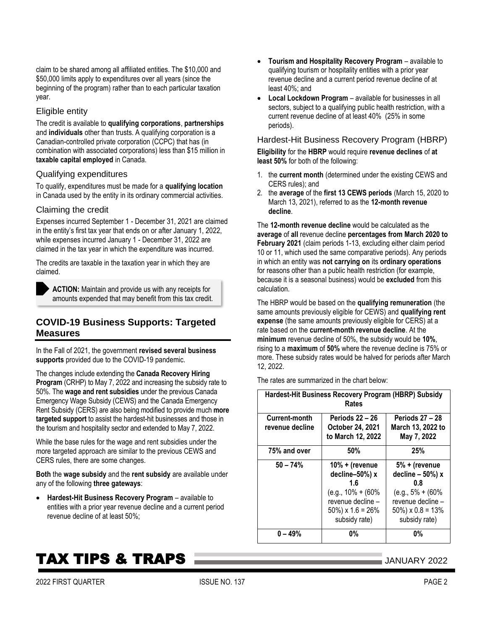\$50,000 limits apply to expenditures over all years (since the beginning of the program) rather than to each particular taxation year.

claim to be shared among all affiliated entities. The \$10,000 and

#### Eligible entity

The credit is available to **qualifying corporations**, **partnerships** and **individuals** other than trusts. A qualifying corporation is a Canadian-controlled private corporation (CCPC) that has (in combination with associated corporations) less than \$15 million in **taxable capital employed** in Canada.

#### Qualifying expenditures

To qualify, expenditures must be made for a **qualifying location** in Canada used by the entity in its ordinary commercial activities.

#### Claiming the credit

Expenses incurred September 1 - December 31, 2021 are claimed in the entity's first tax year that ends on or after January 1, 2022, while expenses incurred January 1 - December 31, 2022 are claimed in the tax year in which the expenditure was incurred.

The credits are taxable in the taxation year in which they are claimed.

**ACTION:** Maintain and provide us with any receipts for amounts expended that may benefit from this tax credit.

## <span id="page-1-0"></span>**COVID-19 Business Supports: Targeted Measures**

In the Fall of 2021, the government **revised several business supports** provided due to the COVID-19 pandemic.

The changes include extending the **Canada Recovery Hiring Program** (CRHP) to May 7, 2022 and increasing the subsidy rate to 50%. The **wage and rent subsidies** under the previous Canada Emergency Wage Subsidy (CEWS) and the Canada Emergency Rent Subsidy (CERS) are also being modified to provide much **more targeted support** to assist the hardest-hit businesses and those in the tourism and hospitality sector and extended to May 7, 2022.

While the base rules for the wage and rent subsidies under the more targeted approach are similar to the previous CEWS and CERS rules, there are some changes.

**Both** the **wage subsidy** and the **rent subsidy** are available under any of the following **three gateways**:

• **Hardest-Hit Business Recovery Program** – available to entities with a prior year revenue decline and a current period revenue decline of at least 50%;

- **Tourism and Hospitality Recovery Program** available to qualifying tourism or hospitality entities with a prior year revenue decline and a current period revenue decline of at least 40%; and
- **Local Lockdown Program** available for businesses in all sectors, subject to a qualifying public health restriction, with a current revenue decline of at least 40% (25% in some periods).

Hardest-Hit Business Recovery Program (HBRP) **Eligibility** for the **HBRP** would require **revenue declines** of **at least 50%** for both of the following:

- 1. the **current month** (determined under the existing CEWS and CERS rules); and
- 2. the **average** of the **first 13 CEWS periods** (March 15, 2020 to March 13, 2021), referred to as the **12-month revenue decline**.

The **12-month revenue decline** would be calculated as the **average** of **all** revenue decline **percentages from March 2020 to February 2021** (claim periods 1-13, excluding either claim period 10 or 11, which used the same comparative periods). Any periods in which an entity was **not carrying on** its **ordinary operations** for reasons other than a public health restriction (for example, because it is a seasonal business) would be **excluded** from this calculation.

The HBRP would be based on the **qualifying remuneration** (the same amounts previously eligible for CEWS) and **qualifying rent expense** (the same amounts previously eligible for CERS) at a rate based on the **current-month revenue decline**. At the **minimum** revenue decline of 50%, the subsidy would be **10%**, rising to a **maximum** of **50%** where the revenue decline is 75% or more. These subsidy rates would be halved for periods after March 12, 2022.

The rates are summarized in the chart below:

| Hardest-Hit Business Recovery Program (HBRP) Subsidy<br>Rates |                                                                                                                                   |                                                                                                                                   |  |
|---------------------------------------------------------------|-----------------------------------------------------------------------------------------------------------------------------------|-----------------------------------------------------------------------------------------------------------------------------------|--|
| Current-month<br>revenue decline                              | <b>Periods 22 - 26</b><br>October 24, 2021<br>to March 12, 2022                                                                   | <b>Periods 27 - 28</b><br>March 13, 2022 to<br>May 7, 2022                                                                        |  |
| 75% and over                                                  | 50%                                                                                                                               | 25%                                                                                                                               |  |
| $50 - 74%$                                                    | $10% +$ (revenue<br>decline-50%) x<br>1.6<br>$(e.g., 10\% + (60\%)$<br>revenue decline -<br>$50\%$ ) x 1.6 = 26%<br>subsidy rate) | 5% + (revenue<br>decline $-50%$ ) x<br>0.8<br>$(e.g., 5\% + (60\%)$<br>revenue decline -<br>$50\%$ ) x 0.8 = 13%<br>subsidy rate) |  |
| $0 - 49%$                                                     | 0%                                                                                                                                | 0%                                                                                                                                |  |

# **TAX TIPS & TRAPS TAX TIPS & TRAPS**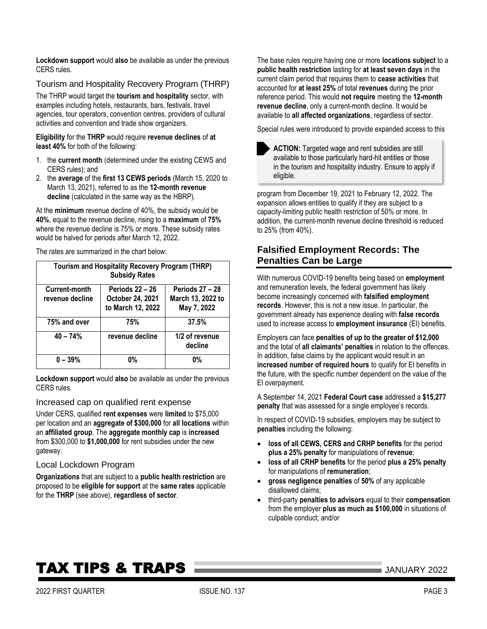**Lockdown support** would **also** be available as under the previous CERS rules.

Tourism and Hospitality Recovery Program (THRP)

The THRP would target the **tourism and hospitality** sector, with examples including hotels, restaurants, bars, festivals, travel agencies, tour operators, convention centres, providers of cultural activities and convention and trade show organizers.

**Eligibility** for the **THRP** would require **revenue declines** of **at least 40%** for both of the following:

- 1. the **current month** (determined under the existing CEWS and CERS rules); and
- 2. the **average** of the **first 13 CEWS periods** (March 15, 2020 to March 13, 2021), referred to as the **12-month revenue decline** (calculated in the same way as the HBRP).

At the **minimum** revenue decline of 40%, the subsidy would be **40%**, equal to the revenue decline, rising to a **maximum** of **75%** where the revenue decline is 75% or more. These subsidy rates would be halved for periods after March 12, 2022.

The rates are summarized in the chart below:

| <b>Tourism and Hospitality Recovery Program (THRP)</b><br><b>Subsidy Rates</b> |                                                                 |                                                            |  |
|--------------------------------------------------------------------------------|-----------------------------------------------------------------|------------------------------------------------------------|--|
| Current-month<br>revenue decline                                               | <b>Periods 22 - 26</b><br>October 24, 2021<br>to March 12, 2022 | <b>Periods 27 - 28</b><br>March 13, 2022 to<br>May 7, 2022 |  |
| 75% and over                                                                   | 75%                                                             | 37.5%                                                      |  |
| $40 - 74%$                                                                     | revenue decline                                                 | 1/2 of revenue<br>decline                                  |  |
| $0 - 39%$                                                                      | 0%                                                              | <b>0%</b>                                                  |  |

**Lockdown support** would **also** be available as under the previous CERS rules.

#### Increased cap on qualified rent expense

Under CERS, qualified **rent expenses** were **limited** to \$75,000 per location and an **aggregate of \$300,000** for **all locations** within an **affiliated group**. The **aggregate monthly cap** is **increased** from \$300,000 to **\$1,000,000** for rent subsidies under the new gateway.

#### Local Lockdown Program

**Organizations** that are subject to a **public health restriction** are proposed to be **eligible for support** at the **same rates** applicable for the **THRP** (see above), **regardless of sector**.

The base rules require having one or more **locations subject** to a **public health restriction** lasting for **at least seven days** in the current claim period that requires them to **cease activities** that accounted for **at least 25%** of total **revenues** during the prior reference period. This would **not require** meeting the **12-month revenue decline**, only a current-month decline. It would be available to **all affected organizations**, regardless of sector.

Special rules were introduced to provide expanded access to this



program from December 19, 2021 to February 12, 2022. The expansion allows entities to qualify if they are subject to a capacity-limiting public health restriction of 50% or more. In addition, the current-month revenue decline threshold is reduced to 25% (from 40%).

### <span id="page-2-0"></span>**Falsified Employment Records: The Penalties Can be Large**

With numerous COVID-19 benefits being based on **employment** and remuneration levels, the federal government has likely become increasingly concerned with **falsified employment records**. However, this is not a new issue. In particular, the government already has experience dealing with **false records** used to increase access to **employment insurance** (EI) benefits.

Employers can face **penalties of up to the greater of \$12,000** and the total of **all claimants' penalties** in relation to the offences. In addition, false claims by the applicant would result in an **increased number of required hours** to qualify for EI benefits in the future, with the specific number dependent on the value of the EI overpayment.

A September 14, 2021 **Federal Court case** addressed a **\$15,277 penalty** that was assessed for a single employee's records.

In respect of COVID-19 subsidies, employers may be subject to **penalties** including the following:

- **loss of all CEWS, CERS and CRHP benefits** for the period **plus a 25% penalty** for manipulations of **revenue**;
- **loss of all CRHP benefits** for the period **plus a 25% penalty** for manipulations of **remuneration**;
- **gross negligence penalties** of **50%** of any applicable disallowed claims:
- third-party **penalties to advisors** equal to their **compensation** from the employer **plus as much as \$100,000** in situations of culpable conduct; and/or

# **TAX TIPS & TRAPS MERRY 2022** JANUARY 2022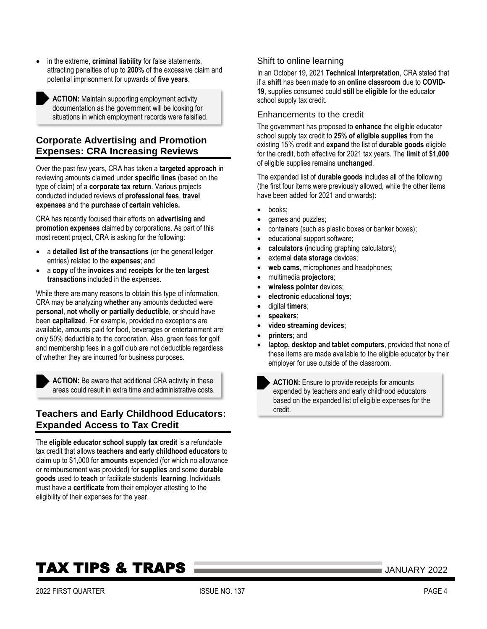• in the extreme, **criminal liability** for false statements, attracting penalties of up to **200%** of the excessive claim and potential imprisonment for upwards of **five years**.

**ACTION:** Maintain supporting employment activity documentation as the government will be looking for situations in which employment records were falsified.

### <span id="page-3-0"></span>**Corporate Advertising and Promotion Expenses: CRA Increasing Reviews**

Over the past few years, CRA has taken a **targeted approach** in reviewing amounts claimed under **specific lines** (based on the type of claim) of a **corporate tax return**. Various projects conducted included reviews of **professional fees**, **travel expenses** and the **purchase** of **certain vehicles.**

CRA has recently focused their efforts on **advertising and promotion expenses** claimed by corporations. As part of this most recent project, CRA is asking for the following:

- a **detailed list of the transactions** (or the general ledger entries) related to the **expenses**; and
- a **copy** of the **invoices** and **receipts** for the **ten largest transactions** included in the expenses.

While there are many reasons to obtain this type of information, CRA may be analyzing **whether** any amounts deducted were **personal**, **not wholly or partially deductible**, or should have been **capitalized**. For example, provided no exceptions are available, amounts paid for food, beverages or entertainment are only 50% deductible to the corporation. Also, green fees for golf and membership fees in a golf club are not deductible regardless of whether they are incurred for business purposes.

**ACTION:** Be aware that additional CRA activity in these areas could result in extra time and administrative costs.

# <span id="page-3-1"></span>**Teachers and Early Childhood Educators: Expanded Access to Tax Credit**

The **eligible educator school supply tax credit** is a refundable tax credit that allows **teachers and early childhood educators** to claim up to \$1,000 for **amounts** expended (for which no allowance or reimbursement was provided) for **supplies** and some **durable goods** used to **teach** or facilitate students' **learning**. Individuals must have a **certificate** from their employer attesting to the eligibility of their expenses for the year.

### Shift to online learning

In an October 19, 2021 **Technical Interpretation**, CRA stated that if a **shift** has been made **to** an **online classroom** due to **COVID-19**, supplies consumed could **still** be **eligible** for the educator school supply tax credit.

#### Enhancements to the credit

The government has proposed to **enhance** the eligible educator school supply tax credit to **25% of eligible supplies** from the existing 15% credit and **expand** the list of **durable goods** eligible for the credit, both effective for 2021 tax years. The **limit** of **\$1,000** of eligible supplies remains **unchanged**.

The expanded list of **durable goods** includes all of the following (the first four items were previously allowed, while the other items have been added for 2021 and onwards):

- books;
- games and puzzles;
- containers (such as plastic boxes or banker boxes);
- educational support software;
- **calculators** (including graphing calculators);
- external **data storage** devices;
- web cams, microphones and headphones;
- multimedia **projectors**;
- **wireless pointer** devices;
- **electronic** educational **toys**;
- digital **timers**;
- **speakers**;
- **video streaming devices**;
- **printers**; and
- **laptop, desktop and tablet computers**, provided that none of these items are made available to the eligible educator by their employer for use outside of the classroom.

**ACTION:** Ensure to provide receipts for amounts expended by teachers and early childhood educators based on the expanded list of eligible expenses for the credit.

# **TAX TIPS & TRAPS MERRY 2022** JANUARY 2022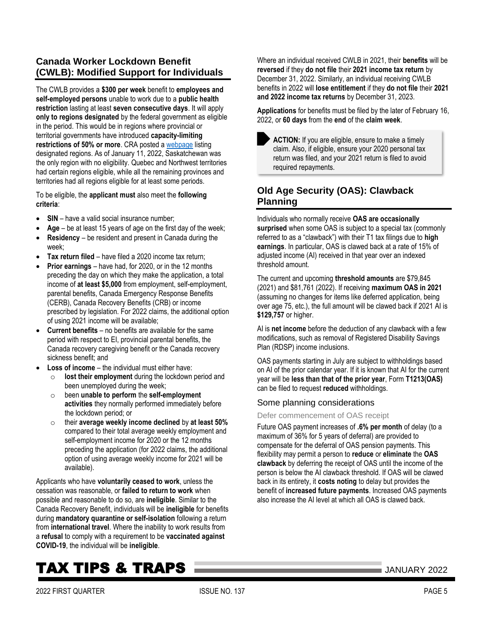## <span id="page-4-0"></span>**Canada Worker Lockdown Benefit (CWLB): Modified Support for Individuals**

The CWLB provides a **\$300 per week** benefit to **employees and self-employed persons** unable to work due to a **public health restriction** lasting at least **seven consecutive days**. It will apply **only to regions designated** by the federal government as eligible in the period. This would be in regions where provincial or territorial governments have introduced **capacity-limiting restrictions of 50% or more**. CRA posted [a webpage](https://www.canada.ca/en/revenue-agency/services/benefits/worker-lockdown-benefit/cwlb-regional-lockdowns.html) listing designated regions. As of January 11, 2022, Saskatchewan was the only region with no eligibility. Quebec and Northwest territories had certain regions eligible, while all the remaining provinces and territories had all regions eligible for at least some periods.

To be eligible, the **applicant must** also meet the **following criteria**:

- **SIN** have a valid social insurance number;
- Age be at least 15 years of age on the first day of the week;
- **Residency** be resident and present in Canada during the week;
- **Tax return filed** have filed a 2020 income tax return;
- **Prior earnings** have had, for 2020, or in the 12 months preceding the day on which they make the application, a total income of **at least \$5,000** from employment, self-employment, parental benefits, Canada Emergency Response Benefits (CERB), Canada Recovery Benefits (CRB) or income prescribed by legislation. For 2022 claims, the additional option of using 2021 income will be available;
- **Current benefits** no benefits are available for the same period with respect to EI, provincial parental benefits, the Canada recovery caregiving benefit or the Canada recovery sickness benefit; and
- **Loss of income** the individual must either have:
	- o **lost their employment** during the lockdown period and been unemployed during the week;
	- o been **unable to perform** the **self-employment activities** they normally performed immediately before the lockdown period; or
	- o their **average weekly income declined** by **at least 50%** compared to their total average weekly employment and self-employment income for 2020 or the 12 months preceding the application (for 2022 claims, the additional option of using average weekly income for 2021 will be available).

Applicants who have **voluntarily ceased to work**, unless the cessation was reasonable, or **failed to return to work** when possible and reasonable to do so, are **ineligible**. Similar to the Canada Recovery Benefit, individuals will be **ineligible** for benefits during **mandatory quarantine or self-isolation** following a return from **international travel**. Where the inability to work results from a **refusal** to comply with a requirement to be **vaccinated against COVID-19**, the individual will be **ineligible**.

Where an individual received CWLB in 2021, their **benefits** will be **reversed** if they **do not file** their **2021 income tax return** by December 31, 2022. Similarly, an individual receiving CWLB benefits in 2022 will **lose entitlement** if they **do not file** their **2021 and 2022 income tax returns** by December 31, 2023.

**Applications** for benefits must be filed by the later of February 16, 2022, or **60 days** from the **end** of the **claim week**.

**ACTION:** If you are eligible, ensure to make a timely claim. Also, if eligible, ensure your 2020 personal tax return was filed, and your 2021 return is filed to avoid required repayments.

## <span id="page-4-1"></span>**Old Age Security (OAS): Clawback Planning**

Individuals who normally receive **OAS are occasionally surprised** when some OAS is subject to a special tax (commonly referred to as a "clawback") with their T1 tax filings due to **high earnings**. In particular, OAS is clawed back at a rate of 15% of adjusted income (AI) received in that year over an indexed threshold amount.

The current and upcoming **threshold amounts** are \$79,845 (2021) and \$81,761 (2022). If receiving **maximum OAS in 2021**  (assuming no changes for items like deferred application, being over age 75, etc.), the full amount will be clawed back if 2021 AI is **\$129,757** or higher.

AI is **net income** before the deduction of any clawback with a few modifications, such as removal of Registered Disability Savings Plan (RDSP) income inclusions.

OAS payments starting in July are subject to withholdings based on AI of the prior calendar year. If it is known that AI for the current year will be **less than that of the prior year**, Form **T1213(OAS)** can be filed to request **reduced** withholdings.

#### Some planning considerations

#### Defer commencement of OAS receipt

Future OAS payment increases of **.6% per month** of delay (to a maximum of 36% for 5 years of deferral) are provided to compensate for the deferral of OAS pension payments. This flexibility may permit a person to **reduce** or **eliminate** the **OAS clawback** by deferring the receipt of OAS until the income of the person is below the AI clawback threshold. If OAS will be clawed back in its entirety, it **costs noting** to delay but provides the benefit of **increased future payments**. Increased OAS payments also increase the AI level at which all OAS is clawed back.

# **TAX TIPS & TRAPS MERRY 2022** JANUARY 2022